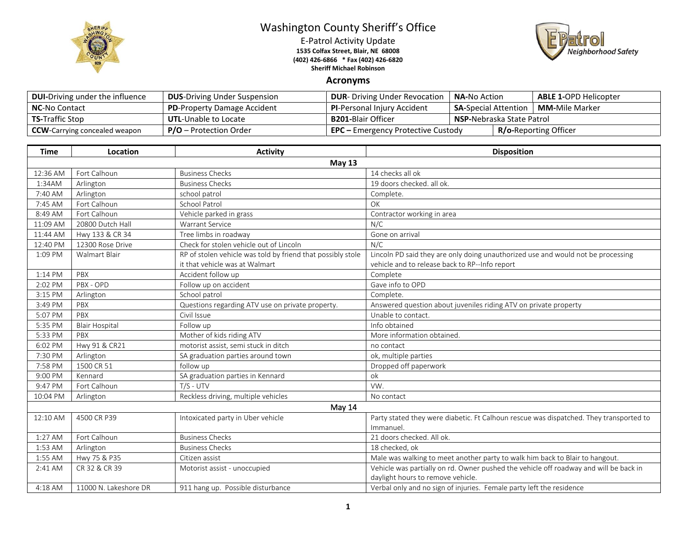

## Washington County Sheriff's Office

E-Patrol Activity Update **1535 Colfax Street, Blair, NE 68008 (402) 426-6866 \* Fax (402) 426-6820 Sheriff Michael Robinson**



## **Acronyms**

| <b>DUI-Driving under the influence</b> | <b>DUS-Driving Under Suspension</b> | <b>DUR-</b> Driving Under Revocation                                      | <b>NA-</b> No Action                                  |  | <b>ABLE 1-OPD Helicopter</b> |
|----------------------------------------|-------------------------------------|---------------------------------------------------------------------------|-------------------------------------------------------|--|------------------------------|
| <b>NC-No Contact</b>                   | <b>PD-Property Damage Accident</b>  | <b>PI-Personal Injury Accident</b>                                        | <b>MM-</b> Mile Marker<br><b>SA-Special Attention</b> |  |                              |
| <b>TS-Traffic Stop</b>                 | <b>UTL-Unable to Locate</b>         | <b>B201-</b> Blair Officer                                                | <b>NSP-</b> Nebraska State Patrol                     |  |                              |
| <b>CCW</b> -Carrying concealed weapon  | $P/O -$ Protection Order            | <b>R/o-Reporting Officer</b><br><b>EPC</b> – Emergency Protective Custody |                                                       |  |                              |

| <b>Time</b> | Location              | <b>Activity</b>                                             | <b>Disposition</b>                                                                     |  |  |  |
|-------------|-----------------------|-------------------------------------------------------------|----------------------------------------------------------------------------------------|--|--|--|
|             | <b>May 13</b>         |                                                             |                                                                                        |  |  |  |
| 12:36 AM    | Fort Calhoun          | <b>Business Checks</b>                                      | 14 checks all ok                                                                       |  |  |  |
| 1:34AM      | Arlington             | <b>Business Checks</b>                                      | 19 doors checked. all ok.                                                              |  |  |  |
| 7:40 AM     | Arlington             | school patrol                                               | Complete.                                                                              |  |  |  |
| 7:45 AM     | Fort Calhoun          | <b>School Patrol</b>                                        | OK                                                                                     |  |  |  |
| 8:49 AM     | Fort Calhoun          | Vehicle parked in grass                                     | Contractor working in area                                                             |  |  |  |
| 11:09 AM    | 20800 Dutch Hall      | Warrant Service                                             | N/C                                                                                    |  |  |  |
| 11:44 AM    | Hwy 133 & CR 34       | Tree limbs in roadway                                       | Gone on arrival                                                                        |  |  |  |
| 12:40 PM    | 12300 Rose Drive      | Check for stolen vehicle out of Lincoln                     | N/C                                                                                    |  |  |  |
| 1:09 PM     | <b>Walmart Blair</b>  | RP of stolen vehicle was told by friend that possibly stole | Lincoln PD said they are only doing unauthorized use and would not be processing       |  |  |  |
|             |                       | it that vehicle was at Walmart                              | vehicle and to release back to RP--Info report                                         |  |  |  |
| 1:14 PM     | PBX                   | Accident follow up                                          | Complete                                                                               |  |  |  |
| 2:02 PM     | PBX - OPD             | Follow up on accident                                       | Gave info to OPD                                                                       |  |  |  |
| 3:15 PM     | Arlington             | School patrol                                               | Complete.                                                                              |  |  |  |
| 3:49 PM     | PBX                   | Questions regarding ATV use on private property.            | Answered question about juveniles riding ATV on private property                       |  |  |  |
| 5:07 PM     | PBX                   | Civil Issue                                                 | Unable to contact.                                                                     |  |  |  |
| 5:35 PM     | <b>Blair Hospital</b> | Follow up                                                   | Info obtained                                                                          |  |  |  |
| 5:33 PM     | PBX                   | Mother of kids riding ATV                                   | More information obtained.                                                             |  |  |  |
| 6:02 PM     | Hwy 91 & CR21         | motorist assist, semi stuck in ditch                        | no contact                                                                             |  |  |  |
| 7:30 PM     | Arlington             | SA graduation parties around town                           | ok, multiple parties                                                                   |  |  |  |
| 7:58 PM     | 1500 CR 51            | follow up                                                   | Dropped off paperwork                                                                  |  |  |  |
| 9:00 PM     | Kennard               | SA graduation parties in Kennard                            | ok                                                                                     |  |  |  |
| 9:47 PM     | Fort Calhoun          | $T/S - UTV$                                                 | VW.                                                                                    |  |  |  |
| 10:04 PM    | Arlington             | Reckless driving, multiple vehicles                         | No contact                                                                             |  |  |  |
| May 14      |                       |                                                             |                                                                                        |  |  |  |
| 12:10 AM    | 4500 CR P39           | Intoxicated party in Uber vehicle                           | Party stated they were diabetic. Ft Calhoun rescue was dispatched. They transported to |  |  |  |
|             |                       |                                                             | Immanuel.                                                                              |  |  |  |
| 1:27 AM     | Fort Calhoun          | <b>Business Checks</b>                                      | 21 doors checked. All ok.                                                              |  |  |  |
| 1:53 AM     | Arlington             | <b>Business Checks</b>                                      | 18 checked, ok                                                                         |  |  |  |
| 1:55 AM     | Hwy 75 & P35          | Citizen assist                                              | Male was walking to meet another party to walk him back to Blair to hangout.           |  |  |  |
| 2:41 AM     | CR 32 & CR 39         | Motorist assist - unoccupied                                | Vehicle was partially on rd. Owner pushed the vehicle off roadway and will be back in  |  |  |  |
|             |                       |                                                             | daylight hours to remove vehicle.                                                      |  |  |  |
| 4:18 AM     | 11000 N. Lakeshore DR | 911 hang up. Possible disturbance                           | Verbal only and no sign of injuries. Female party left the residence                   |  |  |  |